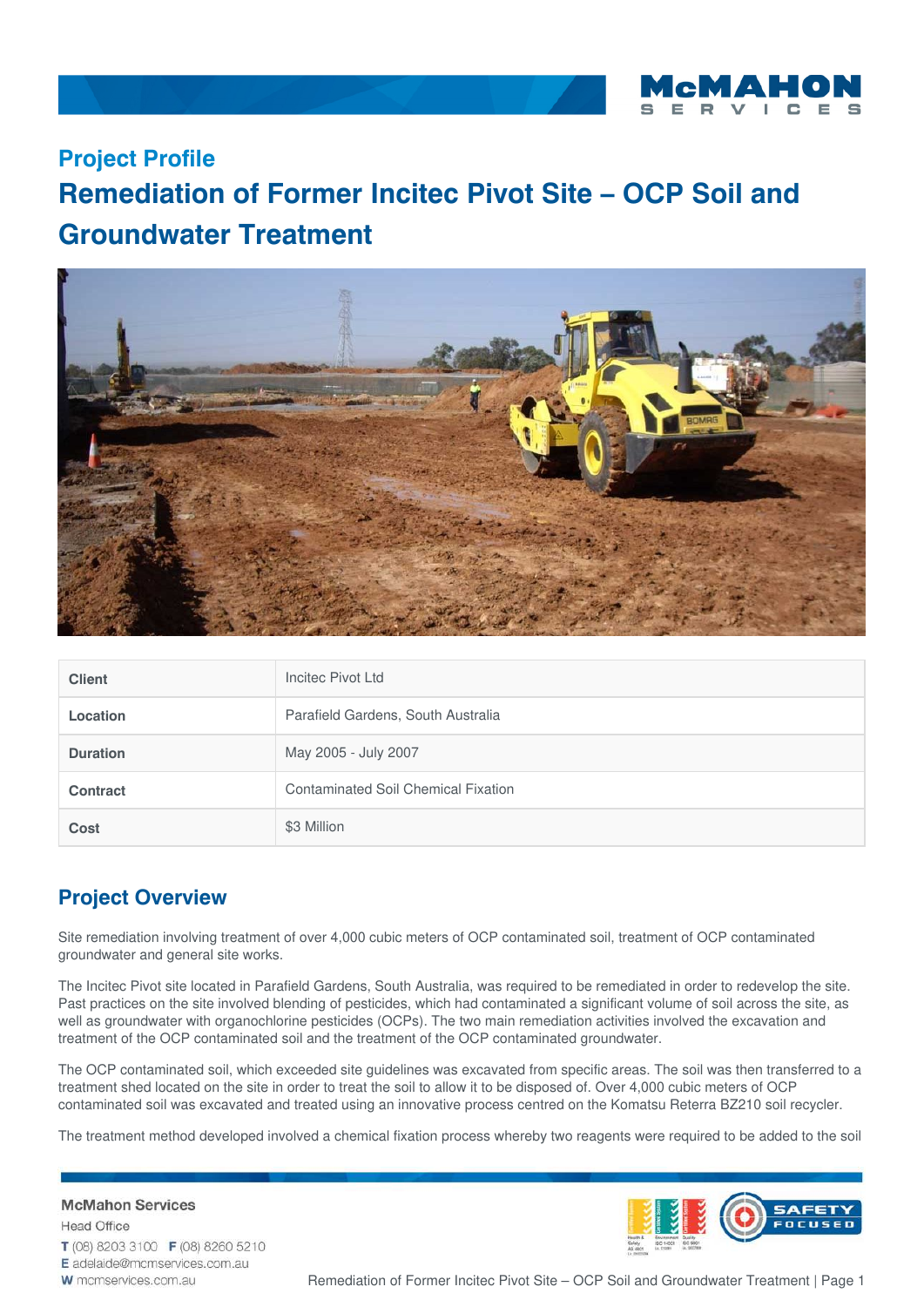

## **Project Profile**

## **Remediation of Former Incitec Pivot Site – OCP Soil and Groundwater Treatment**



| <b>Client</b>   | Incited Pivot Ltd                          |
|-----------------|--------------------------------------------|
| <b>Location</b> | Parafield Gardens, South Australia         |
| <b>Duration</b> | May 2005 - July 2007                       |
| <b>Contract</b> | <b>Contaminated Soil Chemical Fixation</b> |
| <b>Cost</b>     | \$3 Million                                |

## **Project Overview**

Site remediation involving treatment of over 4,000 cubic meters of OCP contaminated soil, treatment of OCP contaminated groundwater and general site works.

The Incitec Pivot site located in Parafield Gardens, South Australia, was required to be remediated in order to redevelop the site. Past practices on the site involved blending of pesticides, which had contaminated a significant volume of soil across the site, as well as groundwater with organochlorine pesticides (OCPs). The two main remediation activities involved the excavation and treatment of the OCP contaminated soil and the treatment of the OCP contaminated groundwater.

The OCP contaminated soil, which exceeded site guidelines was excavated from specific areas. The soil was then transferred to a treatment shed located on the site in order to treat the soil to allow it to be disposed of. Over 4,000 cubic meters of OCP contaminated soil was excavated and treated using an innovative process centred on the Komatsu Reterra BZ210 soil recycler.

The treatment method developed involved a chemical fixation process whereby two reagents were required to be added to the soil

**McMahon Services Head Office** T (08) 8203 3100 F (08) 8260 5210 E adelaide@mcmservices.com.au W mcmservices.com.au